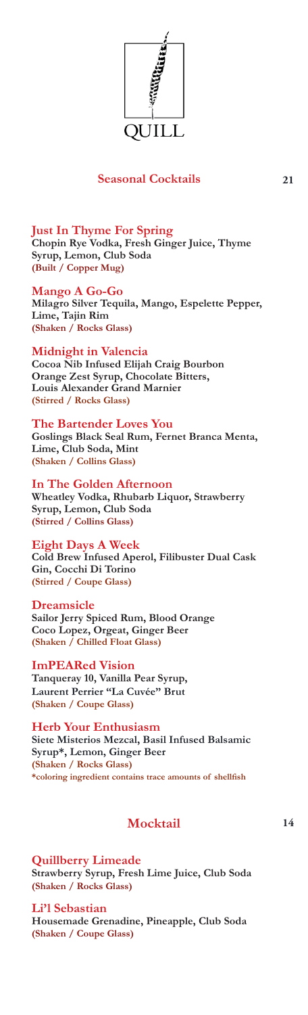

### **Seasonal Cocktails 21**

**Just In Thyme For Spring Chopin Rye Vodka, Fresh Ginger Juice, Thyme Syrup, Lemon, Club Soda (Built / Copper Mug)**

**Mango A Go-Go Milagro Silver Tequila, Mango, Espelette Pepper, Lime, Tajin Rim (Shaken / Rocks Glass)**

### **Midnight in Valencia**

**Cocoa Nib Infused Elijah Craig Bourbon Orange Zest Syrup, Chocolate Bitters, Louis Alexander Grand Marnier (Stirred / Rocks Glass)**

#### **The Bartender Loves You**

**Goslings Black Seal Rum, Fernet Branca Menta, Lime, Club Soda, Mint (Shaken / Collins Glass)**

**In The Golden Afternoon Wheatley Vodka, Rhubarb Liquor, Strawberry Syrup, Lemon, Club Soda (Stirred / Collins Glass)**

### **Eight Days A Week**

**Cold Brew Infused Aperol, Filibuster Dual Cask Gin, Cocchi Di Torino (Stirred / Coupe Glass)**

### **Dreamsicle**

**Sailor Jerry Spiced Rum, Blood Orange Coco Lopez, Orgeat, Ginger Beer (Shaken / Chilled Float Glass)**

**ImPEARed Vision Tanqueray 10, Vanilla Pear Syrup, Laurent Perrier "La Cuvée" Brut (Shaken / Coupe Glass)**

**Herb Your Enthusiasm Siete Misterios Mezcal, Basil Infused Balsamic Syrup\*, Lemon, Ginger Beer (Shaken / Rocks Glass) \*coloring ingredient contains trace amounts of shellfish**

### **Mocktail**

**Quillberry Limeade Strawberry Syrup, Fresh Lime Juice, Club Soda (Shaken / Rocks Glass)**

**Li'l Sebastian Housemade Grenadine, Pineapple, Club Soda (Shaken / Coupe Glass)**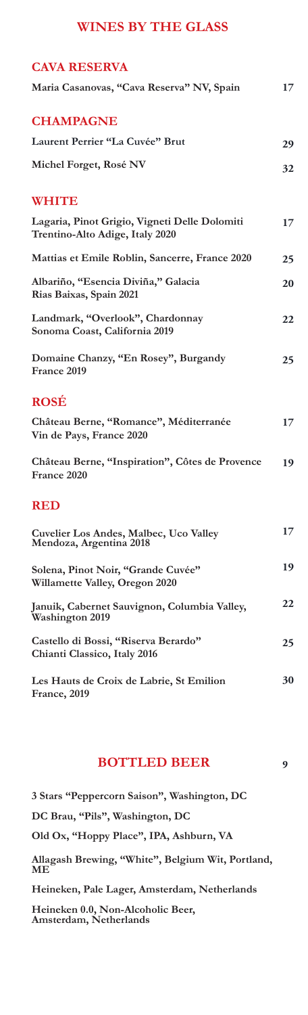# **WINES BY THE GLASS**

| <b>CAVA RESERVA</b>                                                              |    |
|----------------------------------------------------------------------------------|----|
| Maria Casanovas, "Cava Reserva" NV, Spain                                        | 17 |
| <b>CHAMPAGNE</b>                                                                 |    |
| Laurent Perrier "La Cuvée" Brut                                                  | 29 |
| Michel Forget, Rosé NV                                                           | 32 |
| <b>WHITE</b>                                                                     |    |
| Lagaria, Pinot Grigio, Vigneti Delle Dolomiti<br>Trentino-Alto Adige, Italy 2020 | 17 |
| Mattias et Emile Roblin, Sancerre, France 2020                                   | 25 |
| Albariño, "Esencia Diviña," Galacia<br>Rias Baixas, Spain 2021                   | 20 |
| Landmark, "Overlook", Chardonnay<br>Sonoma Coast, California 2019                | 22 |
| Domaine Chanzy, "En Rosey", Burgandy<br>France 2019                              | 25 |
| <b>ROSÉ</b>                                                                      |    |
| Château Berne, "Romance", Méditerranée<br>Vin de Pays, France 2020               | 17 |
| Château Berne, "Inspiration", Côtes de Provence<br>France 2020                   | 19 |
| <b>RED</b>                                                                       |    |
| <b>Cuvelier Los Andes, Malbec, Uco Valley</b><br>Mendoza, Argentina 2018         | 17 |
| Solena, Pinot Noir, "Grande Cuvée"<br>Willamette Valley, Oregon 2020             | 19 |
| Januik, Cabernet Sauvignon, Columbia Valley,<br><b>Washington 2019</b>           | 22 |
| Castello di Bossi, "Riserva Berardo"<br>Chianti Classico, Italy 2016             | 25 |
|                                                                                  | 30 |
| Les Hauts de Croix de Labrie, St Emilion<br><b>France</b> , 2019                 |    |

## **BOTTLED BEER**

**9**

| 3 Stars "Peppercorn Saison", Washington, DC                 |
|-------------------------------------------------------------|
| DC Brau, "Pils", Washington, DC                             |
| Old Ox, "Hoppy Place", IPA, Ashburn, VA                     |
| Allagash Brewing, "White", Belgium Wit, Portland,<br>ME.    |
| Heineken, Pale Lager, Amsterdam, Netherlands                |
| Heineken 0.0, Non-Alcoholic Beer,<br>Amsterdam, Netherlands |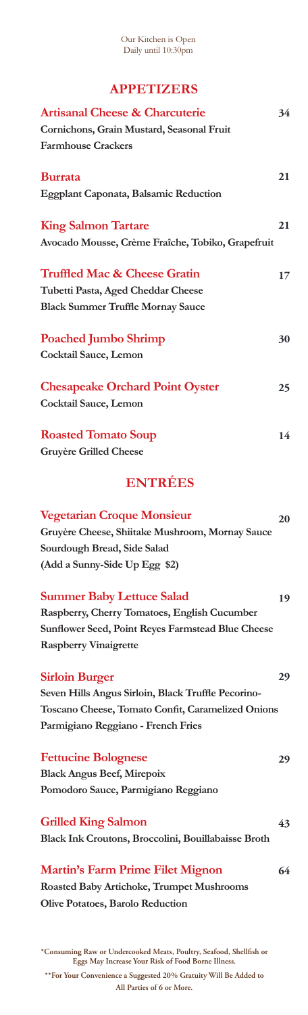#### Our Kitchen is Open Daily until 10:30pm

## **APPETIZERS**

| <b>Artisanal Cheese &amp; Charcuterie</b><br>Cornichons, Grain Mustard, Seasonal Fruit<br><b>Farmhouse Crackers</b>                                                          | 34 |
|------------------------------------------------------------------------------------------------------------------------------------------------------------------------------|----|
| <b>Burrata</b><br><b>Eggplant Caponata, Balsamic Reduction</b>                                                                                                               | 21 |
| <b>King Salmon Tartare</b><br>Avocado Mousse, Crème Fraîche, Tobiko, Grapefruit                                                                                              | 21 |
| <b>Truffled Mac &amp; Cheese Gratin</b><br>Tubetti Pasta, Aged Cheddar Cheese<br><b>Black Summer Truffle Mornay Sauce</b>                                                    | 17 |
| <b>Poached Jumbo Shrimp</b><br>Cocktail Sauce, Lemon                                                                                                                         | 30 |
| <b>Chesapeake Orchard Point Oyster</b><br>Cocktail Sauce, Lemon                                                                                                              | 25 |
| <b>Roasted Tomato Soup</b><br><b>Gruyère Grilled Cheese</b>                                                                                                                  | 14 |
| <b>ENTRÉES</b>                                                                                                                                                               |    |
| <b>Vegetarian Croque Monsieur</b><br>Gruyère Cheese, Shiitake Mushroom, Mornay Sauce<br>Sourdough Bread, Side Salad<br>(Add a Sunny-Side Up Egg \$2)                         | 20 |
| <b>Summer Baby Lettuce Salad</b><br>Raspberry, Cherry Tomatoes, English Cucumber<br><b>Sunflower Seed, Point Reyes Farmstead Blue Cheese</b><br><b>Raspberry Vinaigrette</b> | 19 |
| <b>Sirloin Burger</b><br>Seven Hills Angus Sirloin, Black Truffle Pecorino-<br>Toscano Cheese, Tomato Confit, Caramelized Onions<br>Parmigiano Reggiano - French Fries       | 29 |
| <b>Fettucine Bolognese</b><br><b>Black Angus Beef, Mirepoix</b><br>Pomodoro Sauce, Parmigiano Reggiano                                                                       | 29 |
| <b>Grilled King Salmon</b><br>Black Ink Croutons, Broccolini, Bouillabaisse Broth                                                                                            | 43 |
| <b>Martin's Farm Prime Filet Mignon</b><br><b>Roasted Baby Artichoke, Trumpet Mushrooms</b><br><b>Olive Potatoes, Barolo Reduction</b>                                       | 64 |

**\*Consuming Raw or Undercooked Meats, Poultry, Seafood, Shellfish or Eggs May Increase Your Risk of Food Borne Illness. \*\*For Your Convenience a Suggested 20% Gratuity Will Be Added to** 

**All Parties of 6 or More.**